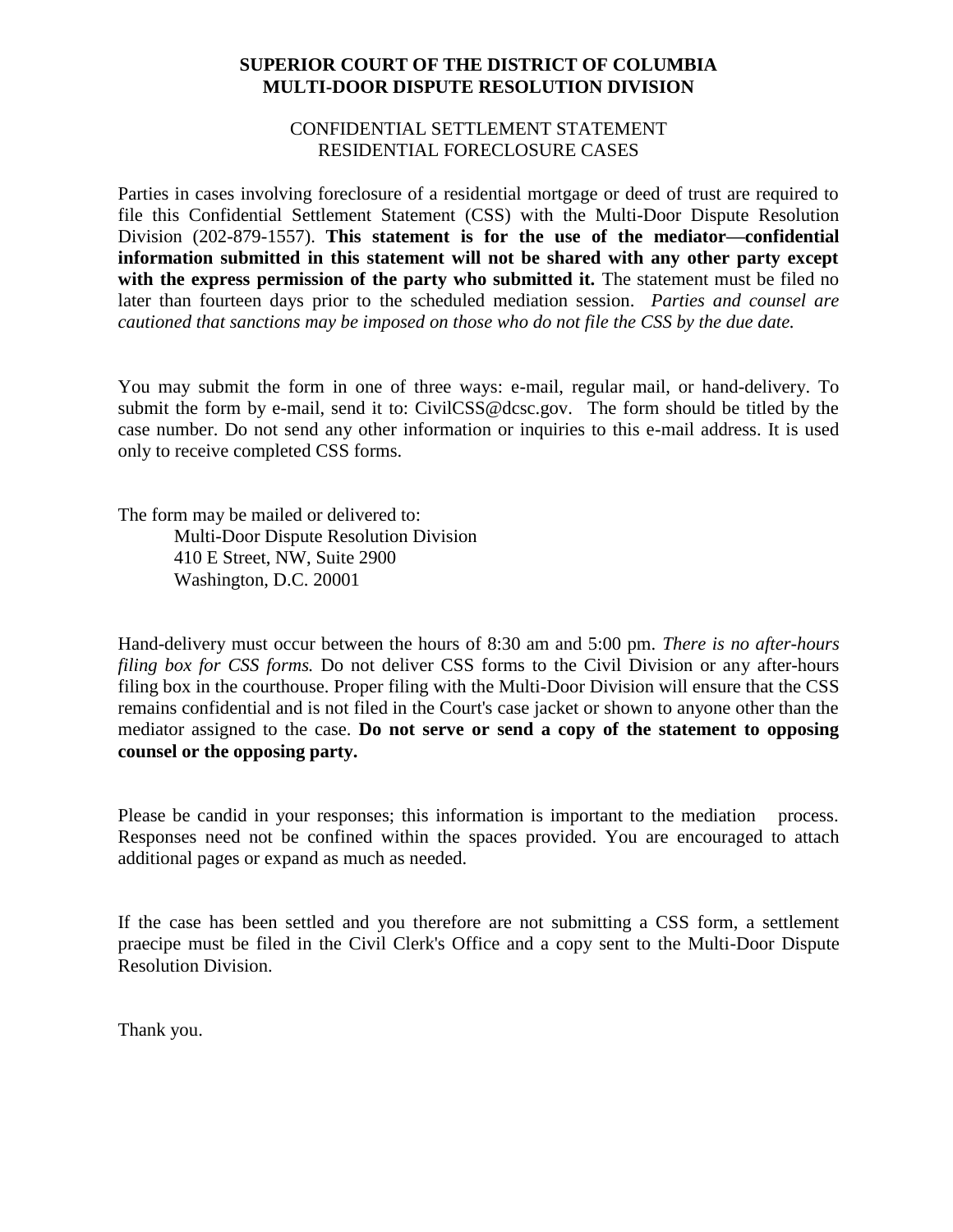### **SUPERIOR COURT OF THE DISTRICT OF COLUMBIA MULTI-DOOR DISPUTE RESOLUTION DIVISION**

#### CONFIDENTIAL SETTLEMENT STATEMENT RESIDENTIAL FORECLOSURE CASES

Parties in cases involving foreclosure of a residential mortgage or deed of trust are required to file this Confidential Settlement Statement (CSS) with the Multi-Door Dispute Resolution Division (202-879-1557). **This statement is for the use of the mediator—confidential information submitted in this statement will not be shared with any other party except**  with the express permission of the party who submitted it. The statement must be filed no later than fourteen days prior to the scheduled mediation session. *Parties and counsel are cautioned that sanctions may be imposed on those who do not file the CSS by the due date.*

You may submit the form in one of three ways: e-mail, regular mail, or hand-delivery. To submit the form by e-mail, send it to: CivilCSS@dcsc.gov. The form should be titled by the case number. Do not send any other information or inquiries to this e-mail address. It is used only to receive completed CSS forms.

The form may be mailed or delivered to:

Multi-Door Dispute Resolution Division 410 E Street, NW, Suite 2900 Washington, D.C. 20001

Hand-delivery must occur between the hours of 8:30 am and 5:00 pm. *There is no after-hours filing box for CSS forms.* Do not deliver CSS forms to the Civil Division or any after-hours filing box in the courthouse. Proper filing with the Multi-Door Division will ensure that the CSS remains confidential and is not filed in the Court's case jacket or shown to anyone other than the mediator assigned to the case. **Do not serve or send a copy of the statement to opposing counsel or the opposing party.**

Please be candid in your responses; this information is important to the mediation process. Responses need not be confined within the spaces provided. You are encouraged to attach additional pages or expand as much as needed.

If the case has been settled and you therefore are not submitting a CSS form, a settlement praecipe must be filed in the Civil Clerk's Office and a copy sent to the Multi-Door Dispute Resolution Division.

Thank you.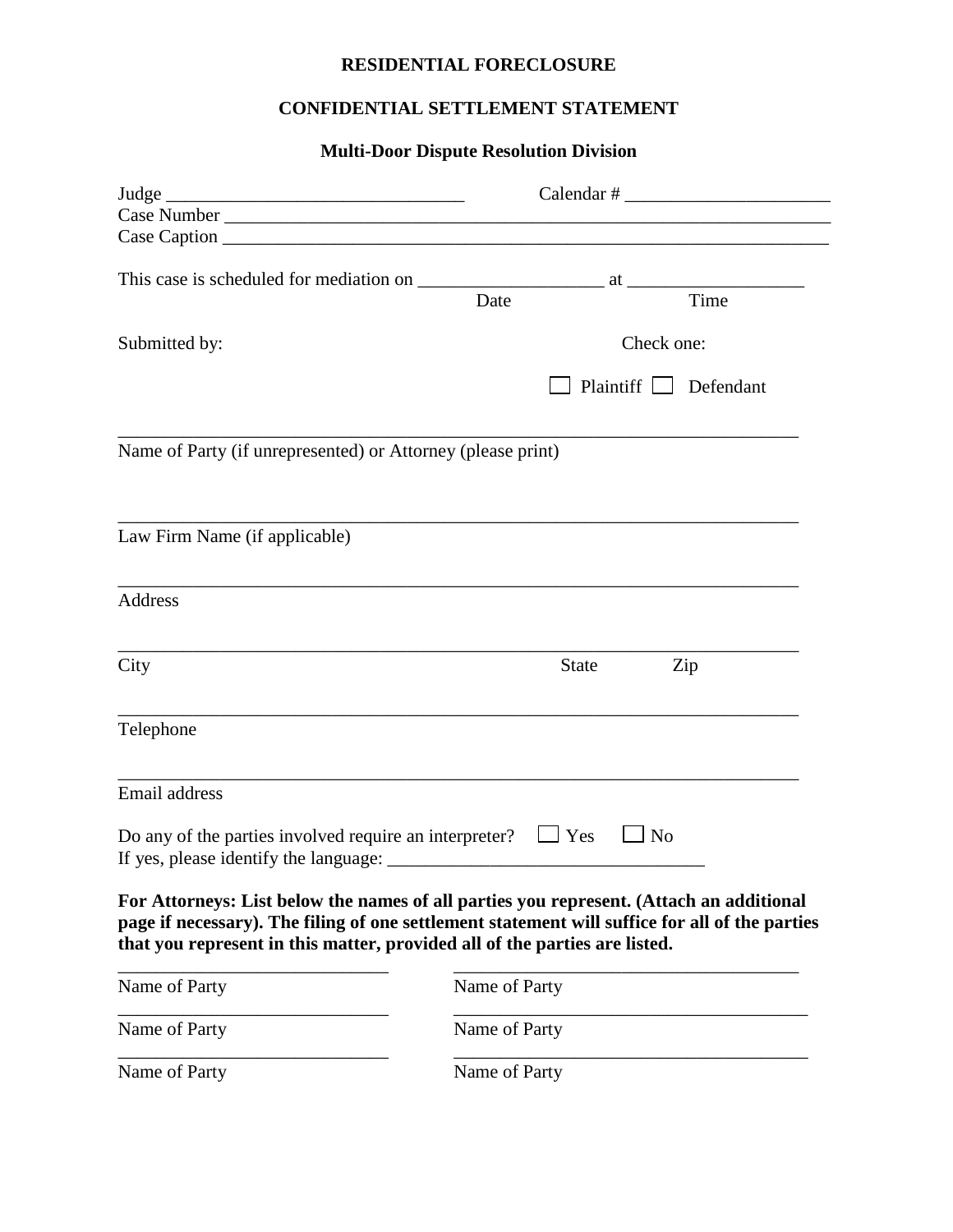### **RESIDENTIAL FORECLOSURE**

## **CONFIDENTIAL SETTLEMENT STATEMENT**

# **Multi-Door Dispute Resolution Division**

| Judge                                                                                                                                                                                                                                                                   | $Calendar \#$ |                         |                     |
|-------------------------------------------------------------------------------------------------------------------------------------------------------------------------------------------------------------------------------------------------------------------------|---------------|-------------------------|---------------------|
|                                                                                                                                                                                                                                                                         |               |                         |                     |
|                                                                                                                                                                                                                                                                         |               |                         |                     |
|                                                                                                                                                                                                                                                                         |               |                         |                     |
|                                                                                                                                                                                                                                                                         | Date          |                         | Time                |
|                                                                                                                                                                                                                                                                         |               |                         |                     |
| Submitted by:                                                                                                                                                                                                                                                           |               |                         | Check one:          |
|                                                                                                                                                                                                                                                                         |               |                         | Plaintiff Defendant |
| Name of Party (if unrepresented) or Attorney (please print)                                                                                                                                                                                                             |               |                         |                     |
| Law Firm Name (if applicable)                                                                                                                                                                                                                                           |               |                         |                     |
| Address                                                                                                                                                                                                                                                                 |               |                         |                     |
| City                                                                                                                                                                                                                                                                    |               | <b>State</b>            | Zip                 |
| Telephone                                                                                                                                                                                                                                                               |               |                         |                     |
| Email address                                                                                                                                                                                                                                                           |               |                         |                     |
| Do any of the parties involved require an interpreter?                                                                                                                                                                                                                  |               | $\Box$ Yes<br>$\Box$ No |                     |
| For Attorneys: List below the names of all parties you represent. (Attach an additional<br>page if necessary). The filing of one settlement statement will suffice for all of the parties<br>that you represent in this matter, provided all of the parties are listed. |               |                         |                     |
| Name of Party                                                                                                                                                                                                                                                           | Name of Party |                         |                     |
| Name of Party                                                                                                                                                                                                                                                           | Name of Party |                         |                     |
| Name of Party                                                                                                                                                                                                                                                           | Name of Party |                         |                     |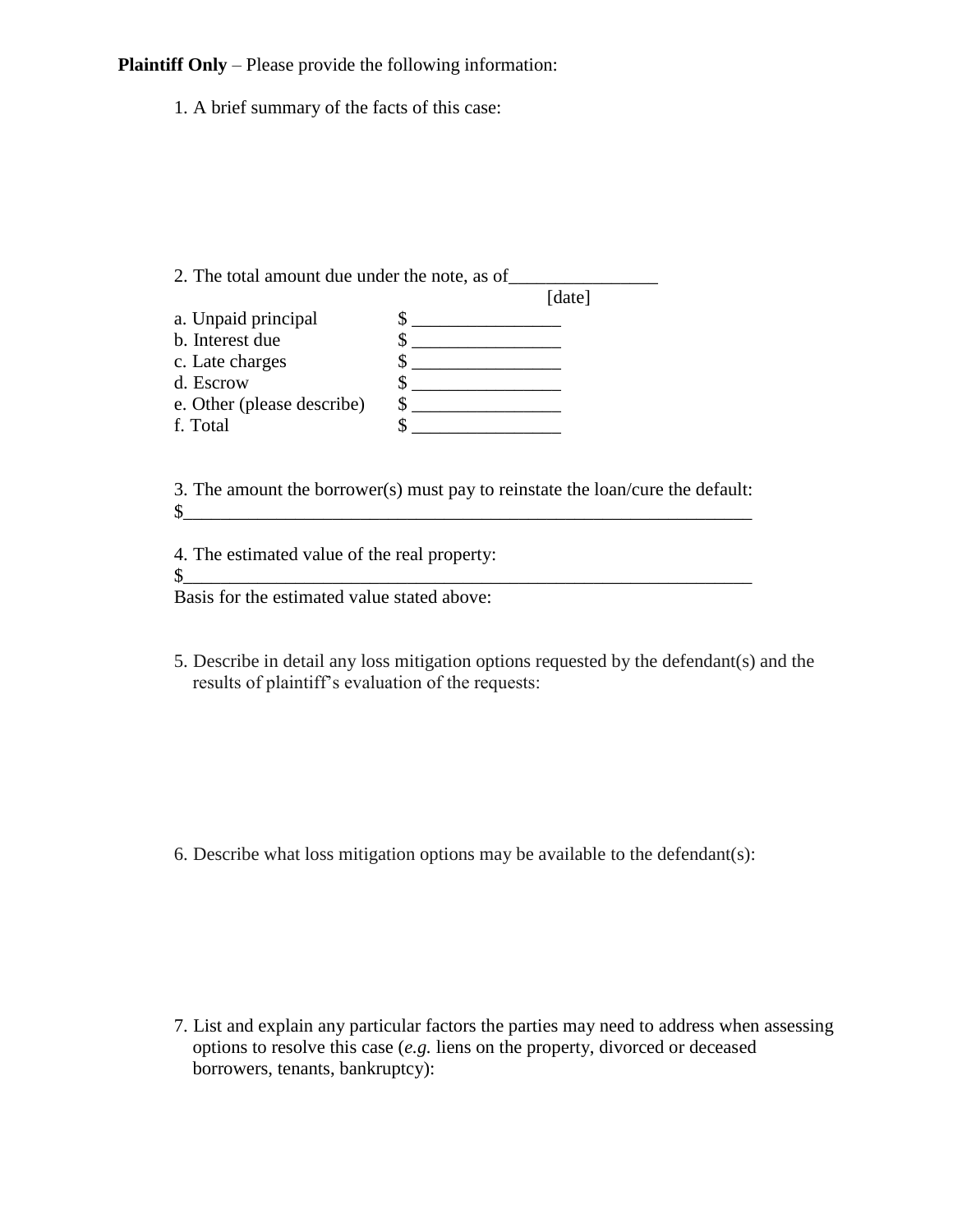**Plaintiff Only** – Please provide the following information:

1. A brief summary of the facts of this case:

2. The total amount due under the note, as of\_\_\_\_\_\_\_\_\_\_\_\_\_\_\_\_

|                            | [date] |
|----------------------------|--------|
| a. Unpaid principal        |        |
| b. Interest due            |        |
| c. Late charges            |        |
| d. Escrow                  |        |
| e. Other (please describe) |        |
| f. Total                   |        |
|                            |        |

3. The amount the borrower(s) must pay to reinstate the loan/cure the default:  $\frac{1}{2}$ 

4. The estimated value of the real property:

 $\mathbb{S}_+$  , and the set of the set of the set of the set of the set of the set of the set of the set of the set of the set of the set of the set of the set of the set of the set of the set of the set of the set of the set

Basis for the estimated value stated above:

5. Describe in detail any loss mitigation options requested by the defendant(s) and the results of plaintiff's evaluation of the requests:

6. Describe what loss mitigation options may be available to the defendant(s):

7. List and explain any particular factors the parties may need to address when assessing options to resolve this case (*e.g.* liens on the property, divorced or deceased borrowers, tenants, bankruptcy):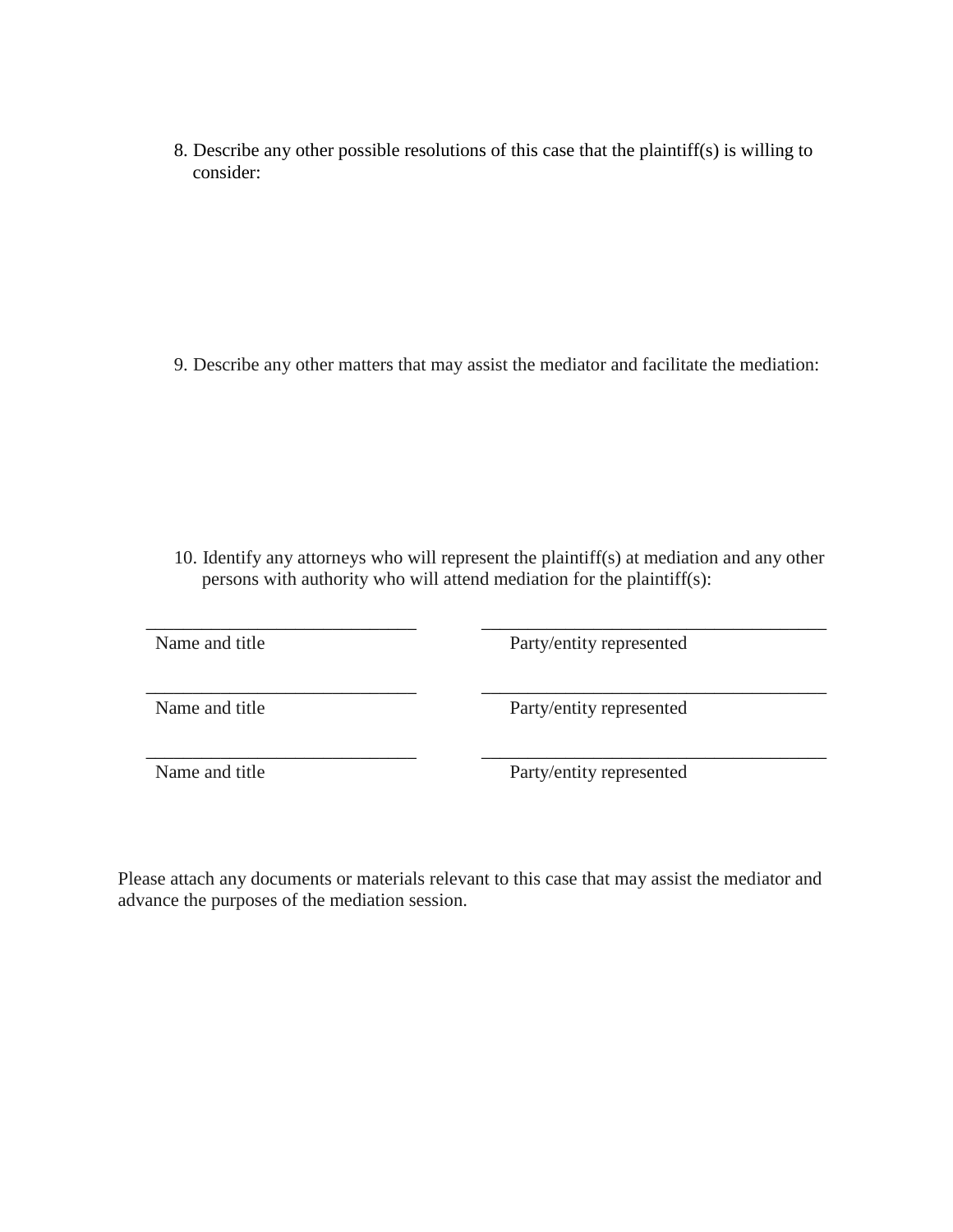8. Describe any other possible resolutions of this case that the plaintiff(s) is willing to consider:

9. Describe any other matters that may assist the mediator and facilitate the mediation:

10. Identify any attorneys who will represent the plaintiff(s) at mediation and any other persons with authority who will attend mediation for the plaintiff(s):

 $\overline{\phantom{a}}$  , and the contract of the contract of the contract of the contract of the contract of the contract of the contract of the contract of the contract of the contract of the contract of the contract of the contrac Name and title Party/entity represented  $\overline{\phantom{a}}$  , and the contribution of the contribution of  $\overline{\phantom{a}}$  , and  $\overline{\phantom{a}}$  , and  $\overline{\phantom{a}}$  , and  $\overline{\phantom{a}}$  , and  $\overline{\phantom{a}}$  , and  $\overline{\phantom{a}}$  , and  $\overline{\phantom{a}}$  , and  $\overline{\phantom{a}}$  , and  $\overline{\phantom{a}}$  , and Name and title Party/entity represented  $\overline{\phantom{a}}$  , and the contract of the contract of the contract of the contract of the contract of the contract of the contract of the contract of the contract of the contract of the contract of the contract of the contrac

Name and title Party/entity represented

Please attach any documents or materials relevant to this case that may assist the mediator and advance the purposes of the mediation session.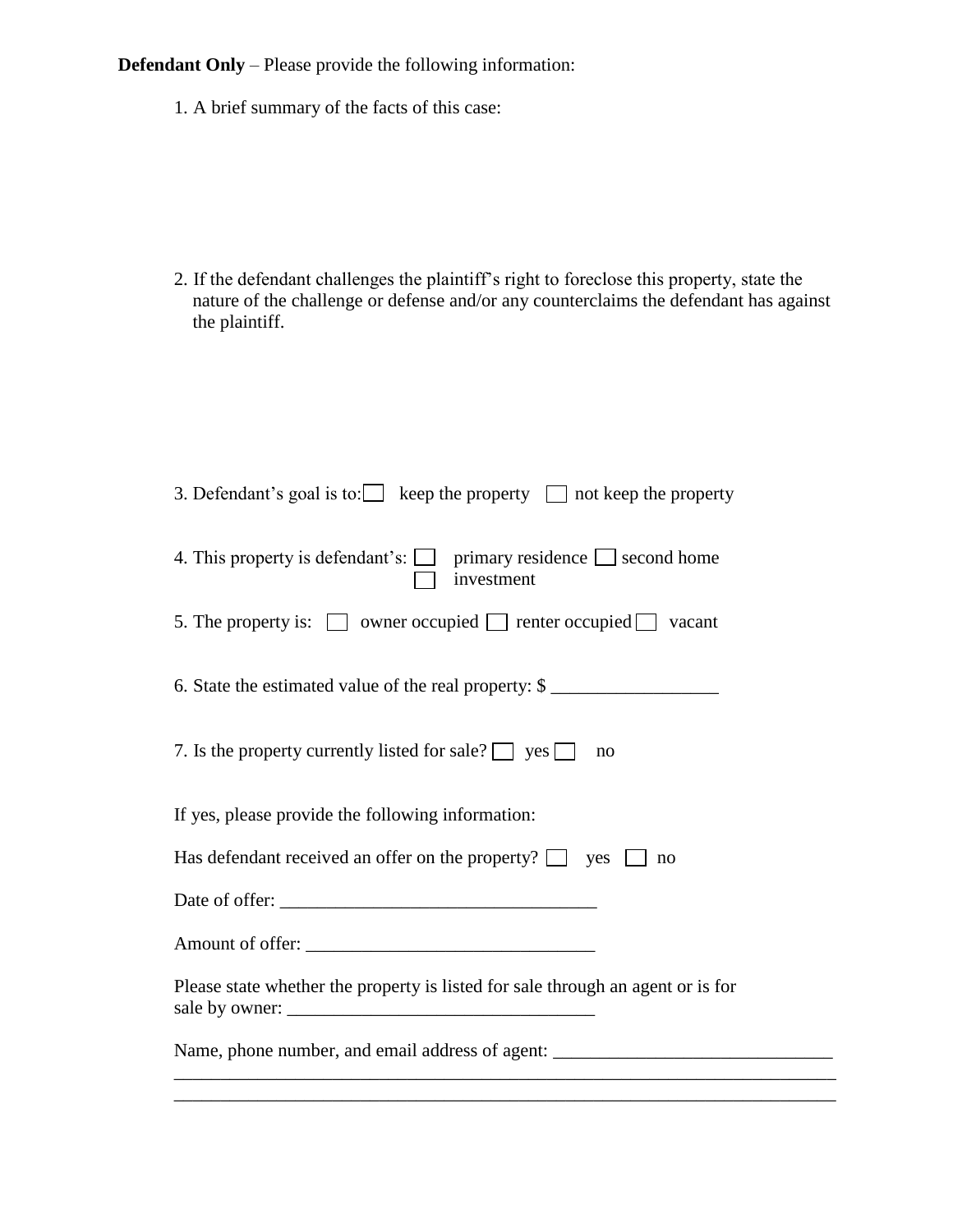**Defendant Only** – Please provide the following information:

1. A brief summary of the facts of this case:

2. If the defendant challenges the plaintiff's right to foreclose this property, state the nature of the challenge or defense and/or any counterclaims the defendant has against the plaintiff.

| 3. Defendant's goal is to: keep the property $\Box$ not keep the property                  |  |  |  |  |
|--------------------------------------------------------------------------------------------|--|--|--|--|
| 4. This property is defendant's: $\Box$ primary residence $\Box$ second home<br>investment |  |  |  |  |
| 5. The property is: $\Box$ owner occupied $\Box$ renter occupied $\Box$ vacant             |  |  |  |  |
| 6. State the estimated value of the real property: \$                                      |  |  |  |  |
| 7. Is the property currently listed for sale? $\Box$ yes $\Box$<br>no                      |  |  |  |  |
| If yes, please provide the following information:                                          |  |  |  |  |
| Has defendant received an offer on the property? $\Box$ yes $\Box$<br>no                   |  |  |  |  |
|                                                                                            |  |  |  |  |
|                                                                                            |  |  |  |  |
| Please state whether the property is listed for sale through an agent or is for            |  |  |  |  |
| Name, phone number, and email address of agent: _________________________________          |  |  |  |  |

\_\_\_\_\_\_\_\_\_\_\_\_\_\_\_\_\_\_\_\_\_\_\_\_\_\_\_\_\_\_\_\_\_\_\_\_\_\_\_\_\_\_\_\_\_\_\_\_\_\_\_\_\_\_\_\_\_\_\_\_\_\_\_\_\_\_\_\_\_\_\_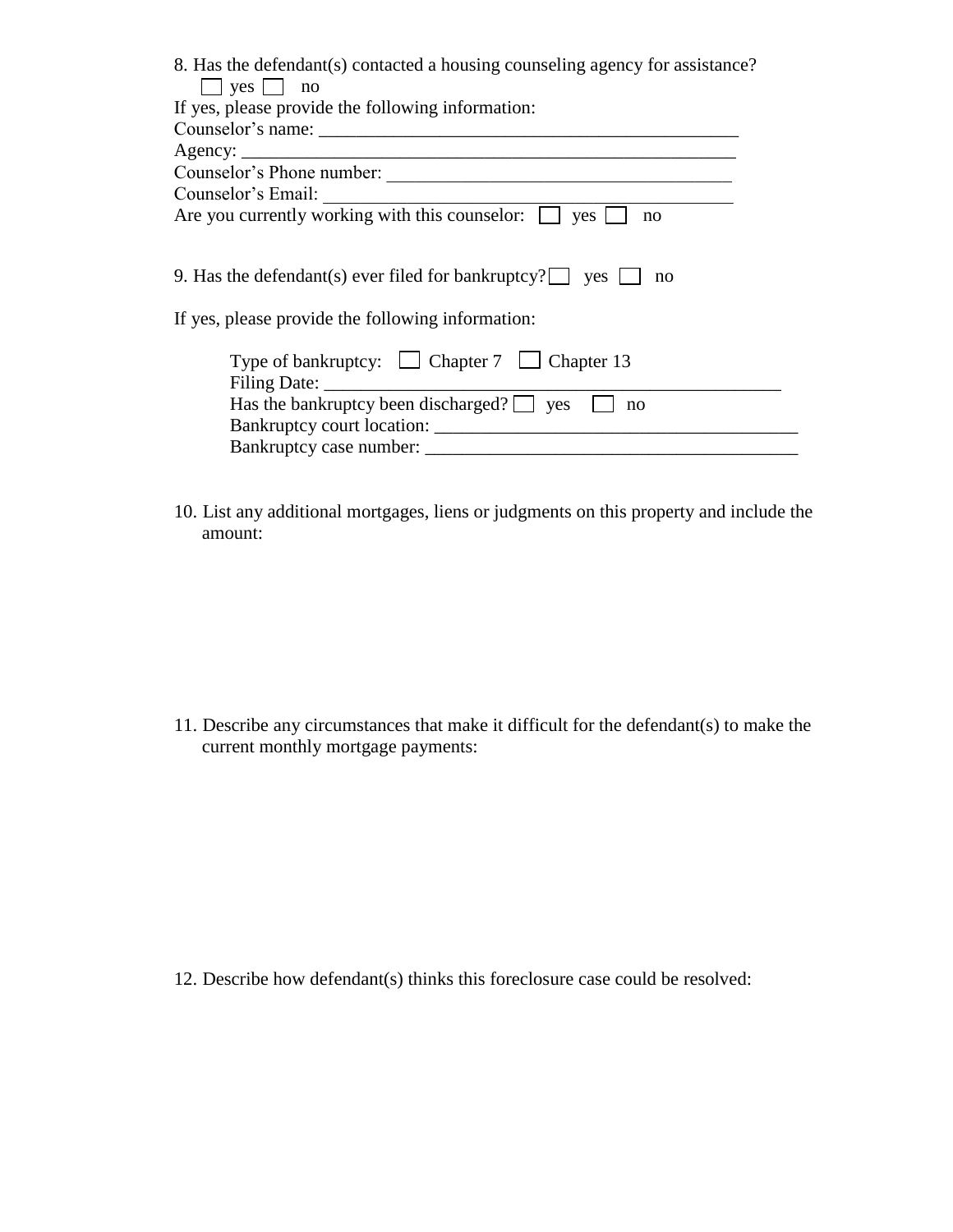| 8. Has the defendant(s) contacted a housing counseling agency for assistance?                                                                                                                                                                     |  |  |  |  |
|---------------------------------------------------------------------------------------------------------------------------------------------------------------------------------------------------------------------------------------------------|--|--|--|--|
| $\Box$ yes $\Box$ no                                                                                                                                                                                                                              |  |  |  |  |
| If yes, please provide the following information:                                                                                                                                                                                                 |  |  |  |  |
|                                                                                                                                                                                                                                                   |  |  |  |  |
|                                                                                                                                                                                                                                                   |  |  |  |  |
| Counselor's Phone number:                                                                                                                                                                                                                         |  |  |  |  |
| Counselor's Email:<br>Are you currently working with this counselor: $\Box$ yes $\Box$                                                                                                                                                            |  |  |  |  |
| no                                                                                                                                                                                                                                                |  |  |  |  |
| 9. Has the defendant(s) ever filed for bankruptcy? $\Box$ yes<br>no<br>If yes, please provide the following information:<br>Type of bankruptcy: $\Box$ Chapter 7 $\Box$ Chapter 13<br>Has the bankruptcy been discharged? $\Box$ yes $\Box$<br>no |  |  |  |  |

10. List any additional mortgages, liens or judgments on this property and include the amount:

11. Describe any circumstances that make it difficult for the defendant(s) to make the current monthly mortgage payments:

12. Describe how defendant(s) thinks this foreclosure case could be resolved: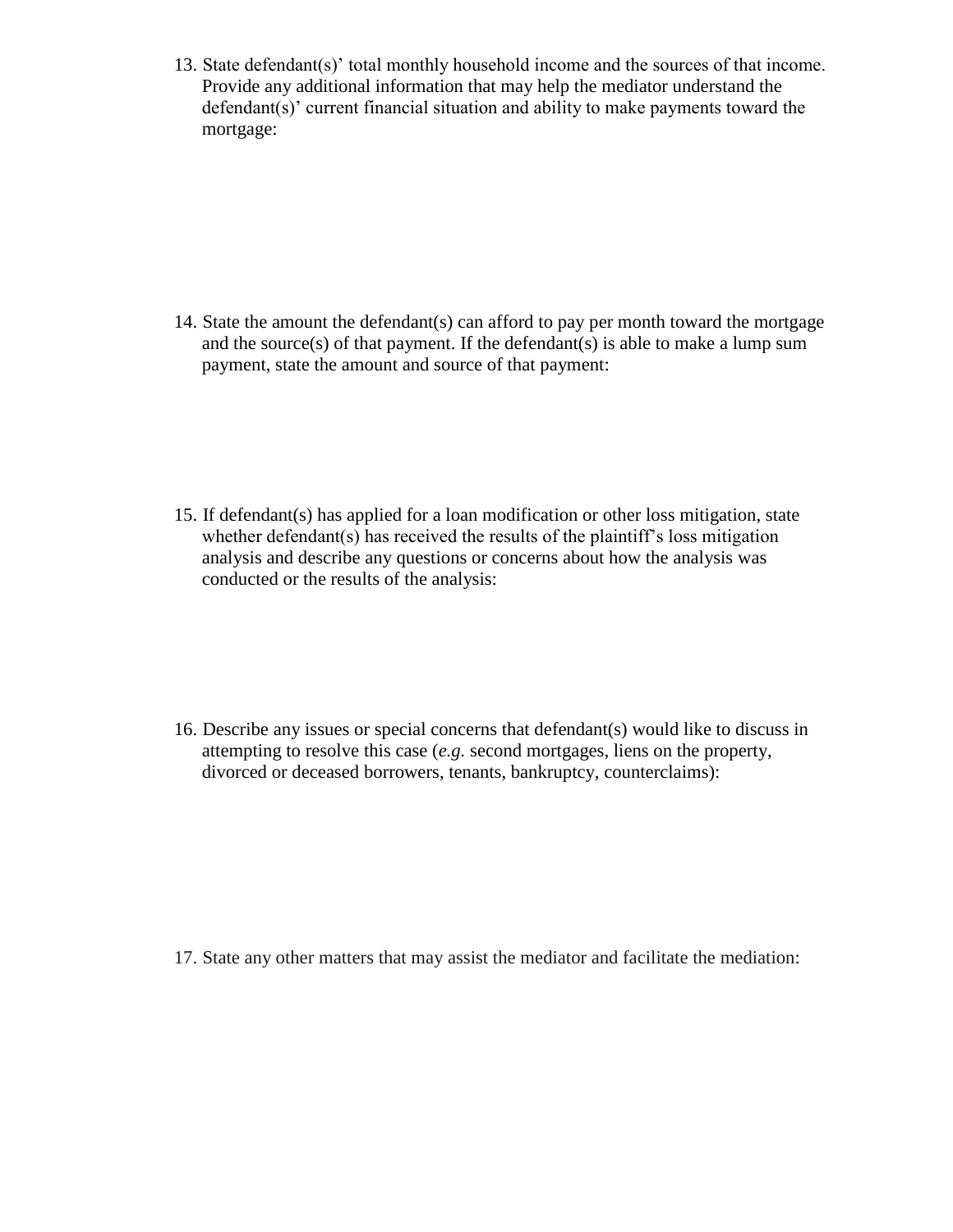13. State defendant(s)' total monthly household income and the sources of that income. Provide any additional information that may help the mediator understand the defendant(s)' current financial situation and ability to make payments toward the mortgage:

14. State the amount the defendant(s) can afford to pay per month toward the mortgage and the source $(s)$  of that payment. If the defendant $(s)$  is able to make a lump sum payment, state the amount and source of that payment:

15. If defendant(s) has applied for a loan modification or other loss mitigation, state whether defendant(s) has received the results of the plaintiff's loss mitigation analysis and describe any questions or concerns about how the analysis was conducted or the results of the analysis:

16. Describe any issues or special concerns that defendant(s) would like to discuss in attempting to resolve this case (*e.g.* second mortgages, liens on the property, divorced or deceased borrowers, tenants, bankruptcy, counterclaims):

17. State any other matters that may assist the mediator and facilitate the mediation: